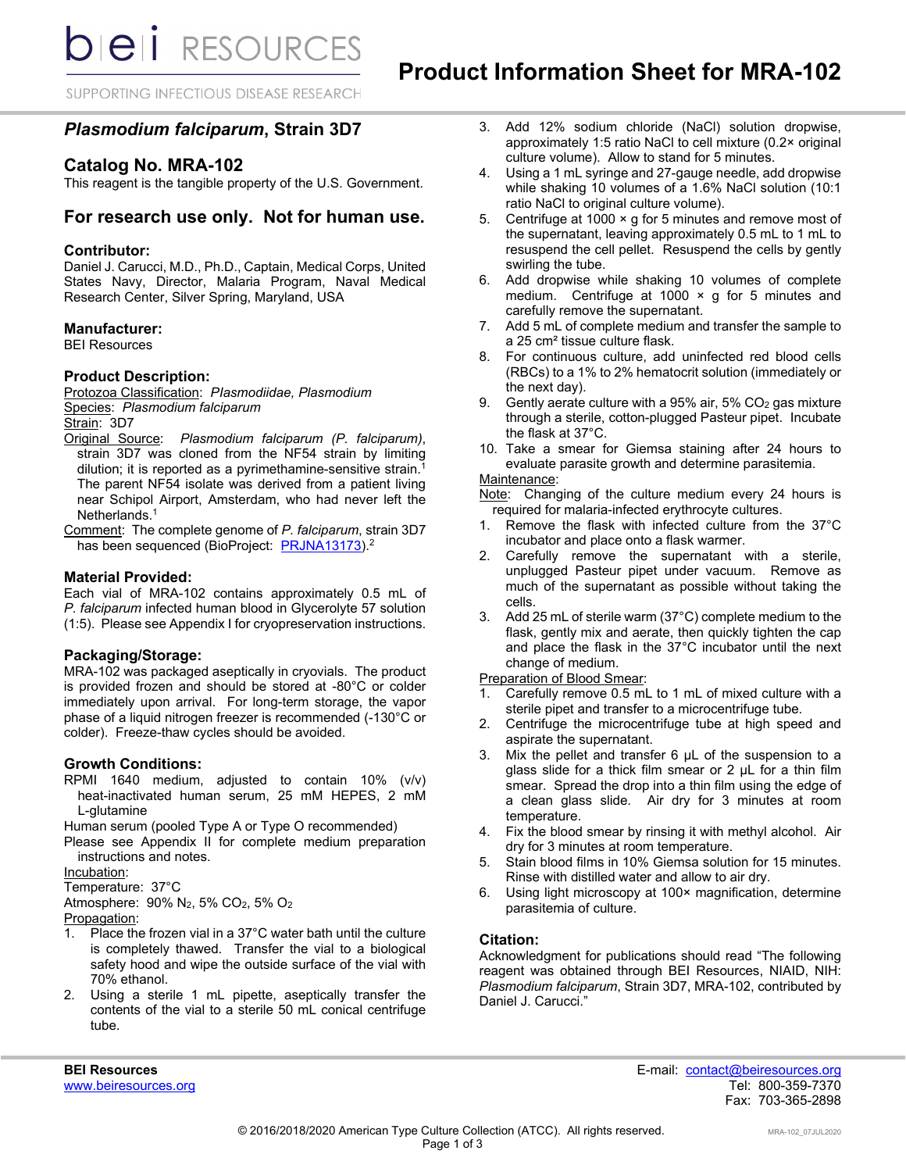**bieli** RESOURCES

SUPPORTING INFECTIOUS DISEASE RESEARCH

# *Plasmodium falciparum***, Strain 3D7**

# **Catalog No. MRA-102**

This reagent is the tangible property of the U.S. Government.

# **For research use only. Not for human use.**

## **Contributor:**

Daniel J. Carucci, M.D., Ph.D., Captain, Medical Corps, United States Navy, Director, Malaria Program, Naval Medical Research Center, Silver Spring, Maryland, USA

## **Manufacturer:**

BEI Resources

## **Product Description:**

Protozoa Classification: *PIasmodiidae, Plasmodium* Species: *Plasmodium falciparum*

Strain: 3D7

- Original Source: *Plasmodium falciparum (P. falciparum)*, strain 3D7 was cloned from the NF54 strain by limiting dilution; it is reported as a pyrimethamine-sensitive strain.<sup>1</sup> The parent NF54 isolate was derived from a patient living near Schipol Airport, Amsterdam, who had never left the Netherlands.<sup>1</sup>
- Comment: The complete genome of *P. falciparum*, strain 3D7 has been sequenced (BioProject: [PRJNA13173\)](https://www.ncbi.nlm.nih.gov/bioproject/13173).<sup>2</sup>

#### **Material Provided:**

Each vial of MRA-102 contains approximately 0.5 mL of *P. falciparum* infected human blood in Glycerolyte 57 solution (1:5). Please see Appendix I for cryopreservation instructions.

#### **Packaging/Storage:**

MRA-102 was packaged aseptically in cryovials. The product is provided frozen and should be stored at -80°C or colder immediately upon arrival. For long-term storage, the vapor phase of a liquid nitrogen freezer is recommended (-130°C or colder). Freeze-thaw cycles should be avoided.

## **Growth Conditions:**

RPMI 1640 medium, adjusted to contain 10% (v/v) heat-inactivated human serum, 25 mM HEPES, 2 mM L-glutamine

Human serum (pooled Type A or Type O recommended)

Please see Appendix II for complete medium preparation instructions and notes.

Incubation:

Temperature: 37°C

Atmosphere: 90% N2, 5% CO2, 5% O2

Propagation:

- 1. Place the frozen vial in a 37°C water bath until the culture is completely thawed. Transfer the vial to a biological safety hood and wipe the outside surface of the vial with 70% ethanol.
- 2. Using a sterile 1 mL pipette, aseptically transfer the contents of the vial to a sterile 50 mL conical centrifuge tube.
- 3. Add 12% sodium chloride (NaCl) solution dropwise, approximately 1:5 ratio NaCl to cell mixture (0.2× original culture volume). Allow to stand for 5 minutes.
- 4. Using a 1 mL syringe and 27-gauge needle, add dropwise while shaking 10 volumes of a 1.6% NaCl solution (10:1 ratio NaCl to original culture volume).
- 5. Centrifuge at 1000 × g for 5 minutes and remove most of the supernatant, leaving approximately 0.5 mL to 1 mL to resuspend the cell pellet. Resuspend the cells by gently swirling the tube.
- 6. Add dropwise while shaking 10 volumes of complete medium. Centrifuge at  $1000 \times g$  for 5 minutes and carefully remove the supernatant.
- 7. Add 5 mL of complete medium and transfer the sample to a 25 cm² tissue culture flask.
- 8. For continuous culture, add uninfected red blood cells (RBCs) to a 1% to 2% hematocrit solution (immediately or the next day).
- 9. Gently aerate culture with a  $95\%$  air,  $5\%$  CO<sub>2</sub> gas mixture through a sterile, cotton-plugged Pasteur pipet. Incubate the flask at 37°C.
- 10. Take a smear for Giemsa staining after 24 hours to evaluate parasite growth and determine parasitemia.

## Maintenance:

Note: Changing of the culture medium every 24 hours is required for malaria-infected erythrocyte cultures.

- 1. Remove the flask with infected culture from the 37°C incubator and place onto a flask warmer.
- 2. Carefully remove the supernatant with a sterile, unplugged Pasteur pipet under vacuum. Remove as much of the supernatant as possible without taking the cells.
- 3. Add 25 mL of sterile warm (37°C) complete medium to the flask, gently mix and aerate, then quickly tighten the cap and place the flask in the 37°C incubator until the next change of medium.

Preparation of Blood Smear:

- 1. Carefully remove 0.5 mL to 1 mL of mixed culture with a sterile pipet and transfer to a microcentrifuge tube.
- 2. Centrifuge the microcentrifuge tube at high speed and aspirate the supernatant.
- 3. Mix the pellet and transfer 6 µL of the suspension to a glass slide for a thick film smear or 2 µL for a thin film smear. Spread the drop into a thin film using the edge of a clean glass slide. Air dry for 3 minutes at room temperature.
- 4. Fix the blood smear by rinsing it with methyl alcohol. Air dry for 3 minutes at room temperature.
- 5. Stain blood films in 10% Giemsa solution for 15 minutes. Rinse with distilled water and allow to air dry.
- 6. Using light microscopy at 100× magnification, determine parasitemia of culture.

## **Citation:**

Acknowledgment for publications should read "The following reagent was obtained through BEI Resources, NIAID, NIH: *Plasmodium falciparum*, Strain 3D7, MRA-102, contributed by Daniel J. Carucci."

**BEI Resources** E-mail: contact@beiresources.org Fax: 703-365-2898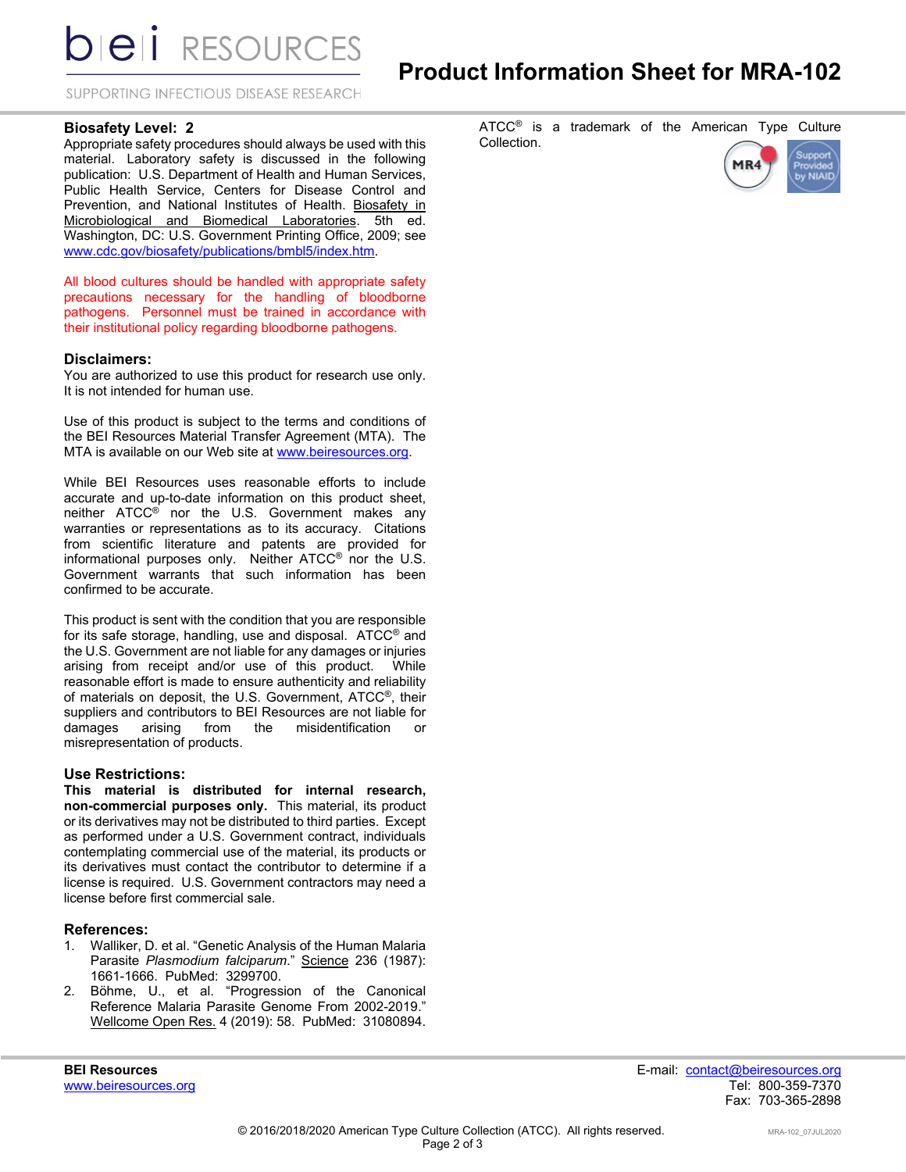**DIEII RESOURCES** 

SUPPORTING INFECTIOUS DISEASE RESEARCH

## **Biosafety Level: 2**

Appropriate safety procedures should always be used with this material. Laboratory safety is discussed in the following publication: U.S. Department of Health and Human Services, Public Health Service, Centers for Disease Control and Prevention, and National Institutes of Health. Biosafety in Microbiological and Biomedical Laboratories. 5th ed. Washington, DC: U.S. Government Printing Office, 2009; see [www.cdc.gov/biosafety/publications/bmbl5/index.htm.](http://www.cdc.gov/biosafety/publications/bmbl5/index.htm) 

All blood cultures should be handled with appropriate safety precautions necessary for the handling of bloodborne pathogens. Personnel must be trained in accordance with their institutional policy regarding bloodborne pathogens.

## **Disclaimers:**

You are authorized to use this product for research use only. It is not intended for human use.

Use of this product is subject to the terms and conditions of the BEI Resources Material Transfer Agreement (MTA). The MTA is available on our Web site at [www.beiresources.org.](http://www.beiresources.org/) 

While BEI Resources uses reasonable efforts to include accurate and up-to-date information on this product sheet, neither ATCC® nor the U.S. Government makes any warranties or representations as to its accuracy. Citations from scientific literature and patents are provided for informational purposes only. Neither ATCC® nor the U.S. Government warrants that such information has been confirmed to be accurate.

This product is sent with the condition that you are responsible for its safe storage, handling, use and disposal. ATCC® and the U.S. Government are not liable for any damages or injuries arising from receipt and/or use of this product. While reasonable effort is made to ensure authenticity and reliability of materials on deposit, the U.S. Government, ATCC®, their suppliers and contributors to BEI Resources are not liable for damages arising from the misidentification or misrepresentation of products.

## **Use Restrictions:**

**This material is distributed for internal research, non-commercial purposes only.** This material, its product or its derivatives may not be distributed to third parties. Except as performed under a U.S. Government contract, individuals contemplating commercial use of the material, its products or its derivatives must contact the contributor to determine if a license is required. U.S. Government contractors may need a license before first commercial sale.

#### **References:**

- 1. Walliker, D. et al. "Genetic Analysis of the Human Malaria Parasite *Plasmodium falciparum*." Science 236 (1987): 1661-1666. PubMed: 3299700.
- 2. Böhme, U., et al. "Progression of the Canonical Reference Malaria Parasite Genome From 2002-2019." Wellcome Open Res. 4 (2019): 58. PubMed: 31080894.

ATCC<sup>®</sup> is a trademark of the American Type Culture Collection.



www.beiresources.org